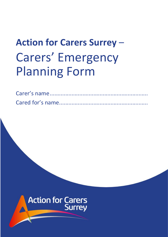# **Action for Carers Surrey** – Carers' Emergency Planning Form

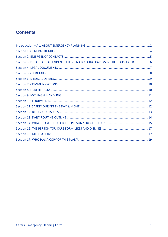#### **Contents**

| Section 3: DETAILS OF DEPENDENT CHILDREN OR YOUNG CARERS IN THE HOUSEHOLD 6 |  |
|-----------------------------------------------------------------------------|--|
|                                                                             |  |
|                                                                             |  |
|                                                                             |  |
|                                                                             |  |
|                                                                             |  |
|                                                                             |  |
|                                                                             |  |
|                                                                             |  |
|                                                                             |  |
|                                                                             |  |
|                                                                             |  |
|                                                                             |  |
|                                                                             |  |
|                                                                             |  |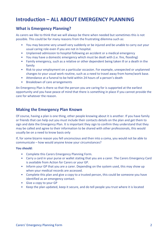### <span id="page-2-0"></span>**Introduction – ALL ABOUT EMERGENCY PLANNING**

#### **What is Emergency Planning?**

As carers we like to think that we will always be there when needed but sometimes this is not possible. This could be for many reasons from the frustrating dilemma such as:

- You may become very unwell very suddenly or be injured and be unable to carry out your usual caring role even if you are not in hospital.
- Unplanned admission to hospital following an accident or a medical emergency
- You may have a domestic emergency which must be dealt with (i.e. fire, flooding)
- Family emergency, such as a relative or other dependent being taken ill or a death in the family
- Risk to your employment on a particular occasion. For example, unexpected or unplanned changes to your usual work routine, such as a need to travel away from home/work base.
- Attendance at a funeral to be held within 24 hours of a person's death
- Breakdown of care arrangements

An Emergency Plan is there so that the person you are caring for is supported at the earliest opportunity and you have peace of mind that there is something in place if you cannot provide the care for whatever the reason.

#### **Making the Emergency Plan Known**

Of course, having a plan is one thing, other people knowing about it is another. If you have family or friends that can help out you must include their contacts details on the plan and get them to sign and date the Emergency Plan. It is important they sign to confirm they understand that they may be called and agree to their information to be shared with other professionals, this would usually be on a need to know basis only

If, for some bizarre reason you fell unconscious and then into a coma, you would not be able to communicate – how would anyone know your circumstances?

#### **You should:**

- Complete this Carers Emergency Planning Form.
- Carry a card in your purse or wallet stating that you are a carer. The Carers Emergency Card is available from Action for Carers or your GP.
- Inform your GP that you are a carer. Depending on the system used, this may show up when your medical records are accessed.
- Complete this plan and give a copy to a trusted person, this could be someone you have identified as an emergency contact.
- Give a copy to your GP
- Keep the plan updated, keep it secure, and do tell people you trust where it is located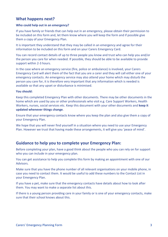#### **What happens next?**

#### **Who could help out in an emergency?**

If you have family or friends that can help out in an emergency, please obtain their permission to be included on this form and, let them know where you will keep the form and if possible give them a copy of your Emergency Plan.

It is important they understand that they may be called in an emergency and agree for their information to be included on this form and on your Carers Emergency Card.

You can record contact details of up to three people you know and trust who can help you and/or the person you care for when needed. If possible, they should be able to be available to provide support within 2-3 hours.

In the case where an emergency service (fire, police or ambulance) is involved, your Carers Emergency Card will alert them of the fact that you are a carer and they will call either one of your emergency contacts. An emergency service may also attend your home which may disturb the person you care for, it is therefore very important that any information which is needed is available so that any upset or disturbance is minimised.

#### **You should:**

Keep this completed Emergency Plan with other documents. There may be other documents in the home which are used by you or other professionals who visit e.g. Care Support Workers, Health Workers, nurses, social services etc. Keep this document with your other documents and **keep it updated whenever things change**.

Ensure that your emergency contacts know where you keep the plan and also give them a copy of your Emergency Plan.

We hope that you will never find yourself in a situation where you need to use your Emergency Plan. However we trust that having made these arrangements, it will give you 'peace of mind'.

#### **Guidance to help you to complete your Emergency Plan:**

Before completing your plan, have a good think about the people who you can rely on for support who you can include in your emergency plan.

You can get assistance to help you complete this form by making an appointment with one of our Advisors.

Make sure that you have the phone number of all relevant organisations on your mobile phone, in case you need to contact them. It would be useful to add these numbers to the Contact List in your Emergency Plan.

If you have a pet, make sure that the emergency contacts have details about how to look after them. You may want to make a separate list about this.

If there is a young person providing care in your family or is one of your emergency contacts, make sure that their school knows about this.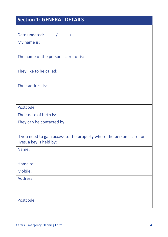### <span id="page-4-0"></span>**Section 1: GENERAL DETAILS**

Date updated: \_\_ \_ / \_\_ \_ / \_\_ \_\_ \_ \_

My name is:

The name of the person I care for is:

They like to be called:

Their address is:

Postcode:

Their date of birth is:

They can be contacted by:

If you need to gain access to the property where the person I care for lives, a key is held by:

Name:

Home tel:

Mobile:

Address:

Postcode: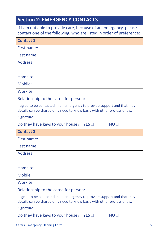<span id="page-5-0"></span>

| <b>Section 2: EMERGENCY CONTACTS</b>                                                                                                               |  |  |
|----------------------------------------------------------------------------------------------------------------------------------------------------|--|--|
| If I am not able to provide care, because of an emergency, please<br>contact one of the following, who are listed in order of preference:          |  |  |
| <b>Contact 1</b>                                                                                                                                   |  |  |
| First name:                                                                                                                                        |  |  |
| Last name:                                                                                                                                         |  |  |
| Address:                                                                                                                                           |  |  |
| Home tel:                                                                                                                                          |  |  |
| Mobile:                                                                                                                                            |  |  |
| Work tel:                                                                                                                                          |  |  |
| Relationship to the cared for person:                                                                                                              |  |  |
| I agree to be contacted in an emergency to provide support and that may<br>details can be shared on a need to know basis with other professionals. |  |  |
| Signature:                                                                                                                                         |  |  |
| Do they have keys to your house?<br>YES<br><b>NO</b>                                                                                               |  |  |
| <b>Contact 2</b>                                                                                                                                   |  |  |
| First name:                                                                                                                                        |  |  |
| Last name:                                                                                                                                         |  |  |
| Address:                                                                                                                                           |  |  |
| Home tel:                                                                                                                                          |  |  |
| Mobile:                                                                                                                                            |  |  |
| Work tel:                                                                                                                                          |  |  |
| Relationship to the cared for person:                                                                                                              |  |  |
| I agree to be contacted in an emergency to provide support and that may<br>details can be shared on a need to know basis with other professionals. |  |  |
| <b>Signature:</b>                                                                                                                                  |  |  |
| Do they have keys to your house?<br>NO<br>YES                                                                                                      |  |  |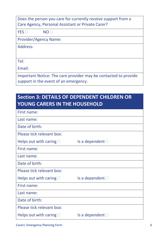| Does the person you care for currently receive support from a   |  |  |
|-----------------------------------------------------------------|--|--|
| Care Agency, Personal Assistant or Private Carer?               |  |  |
| $YES \Box$<br>NO <sub>1</sub>                                   |  |  |
| <b>Provider/Agency Name:</b>                                    |  |  |
| Address:                                                        |  |  |
|                                                                 |  |  |
| Tel:                                                            |  |  |
| Email:                                                          |  |  |
| Important Notice: The care provider may be contacted to provide |  |  |

support in the event of an emergency.

# <span id="page-6-0"></span>**Section 3: DETAILS OF DEPENDENT CHILDREN OR YOUNG CARERS IN THE HOUSEHOLD**

| First name:                     |                          |
|---------------------------------|--------------------------|
| Last name:                      |                          |
| Date of birth:                  |                          |
| Please tick relevant box:       |                          |
| Helps out with caring $\Box$    | Is a dependent $\square$ |
| First name:                     |                          |
| Last name:                      |                          |
| Date of birth:                  |                          |
| Please tick relevant box:       |                          |
| Helps out with caring $\Box$    | Is a dependent $\square$ |
| First name:                     |                          |
| Last name:                      |                          |
| Date of birth:                  |                          |
| Please tick relevant box:       |                          |
| Helps out with caring $\square$ | Is a dependent $\square$ |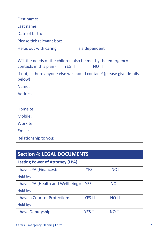| First name:                                                          |  |  |
|----------------------------------------------------------------------|--|--|
| Last name:                                                           |  |  |
| Date of birth:                                                       |  |  |
| Please tick relevant box:                                            |  |  |
| Is a dependent $\Box$<br>Helps out with caring $\square$             |  |  |
|                                                                      |  |  |
| Will the needs of the children also be met by the emergency          |  |  |
| YES<br>NO <sub>1</sub><br>contacts in this plan?                     |  |  |
| If not, is there anyone else we should contact? (please give details |  |  |
| below)                                                               |  |  |
| Name:                                                                |  |  |
| Address:                                                             |  |  |
|                                                                      |  |  |
| Home tel:                                                            |  |  |
| Mobile:                                                              |  |  |
| Work tel:                                                            |  |  |
| Email:                                                               |  |  |
| Relationship to you:                                                 |  |  |

<span id="page-7-0"></span>

| <b>Section 4: LEGAL DOCUMENTS</b>       |                 |                 |  |
|-----------------------------------------|-----------------|-----------------|--|
| <b>Lasting Power of Attorney (LPA):</b> |                 |                 |  |
| I have LPA (Finances):                  | YES             | <b>NO</b>       |  |
| Held by:                                |                 |                 |  |
| I have LPA (Health and Wellbeing):      | YES             | NO <sub>1</sub> |  |
| Held by:                                |                 |                 |  |
| I have a Court of Protection:           | $YES \Box$      | NO <sub>1</sub> |  |
| Held by:                                |                 |                 |  |
| I have Deputyship:                      | <b>YFS</b><br>ш | NO LI           |  |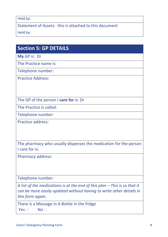#### Held by:

Statement of Assets: this is attached to this document

Held by:

### <span id="page-8-0"></span>**Section 5: GP DETAILS**

**My** GP is: Dr

The Practice name is:

Telephone number:

Practice Address:

The GP of the person I **care for** is: Dr

The Practice is called:

Telephone number:

Practice address:

The pharmacy who usually dispenses the medication for the person I care for is:

Pharmacy address:

Telephone number:

*A list of the medications is at the end of this plan – This is so that it can be more easily updated without having to write other details in this form again.*

There is a Message in A Bottle in the fridge

 $Yes \Box$  No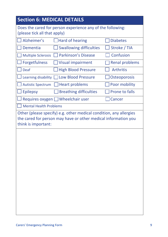# <span id="page-9-0"></span>**Section 6: MEDICAL DETAILS** Does the cared for person experience any of the following:

(please tick all that apply) Alzheimer's □Hard of hearing □Diabetes Dementia  $\Box$  Swallowing difficulties  $\Box$  Stroke / TIA  $\Box$  Multiple Sclerosis  $\Box$  Parkinson's Disease  $\Box$  Confusion  $\Box$  Forgetfulness  $\Box$  Visual impairment  $\Box$  Renal problems  $\Box$  Deaf  $\Box$  High Blood Pressure  $\Box$  Arthritis Learning disability  $\Box$  Low Blood Pressure  $\Box$  Osteoporosis Autistic Spectrum  $\Box$  Heart problems  $\Box$  Poor mobility  $\Box$  Epilepsy  $\Box$  Breathing difficulties  $\Box$  Prone to falls Requires oxygen  $\Box$  Wheelchair user  $\Box$  Cancer Mental Health Problems Other (please specify) e.g. other medical condition, any allergies the cared for person may have or other medical information you

think is important: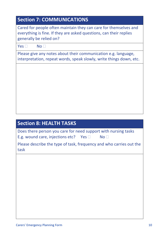<span id="page-10-1"></span><span id="page-10-0"></span>

| <b>Section 7: COMMUNICATIONS</b>                                                                                                                                  |
|-------------------------------------------------------------------------------------------------------------------------------------------------------------------|
| Cared for people often maintain they can care for themselves and<br>everything is fine. If they are asked questions, can their replies<br>generally be relied on? |
| No <sub>1</sub><br>Yes $\Box$                                                                                                                                     |
| Please give any notes about their communication e.g. language,<br>interpretation, repeat words, speak slowly, write things down, etc.                             |
|                                                                                                                                                                   |
|                                                                                                                                                                   |
|                                                                                                                                                                   |
|                                                                                                                                                                   |
|                                                                                                                                                                   |
|                                                                                                                                                                   |
|                                                                                                                                                                   |
| <b>Section 8: HEALTH TASKS</b>                                                                                                                                    |
| Does there person you care for need support with nursing tasks<br>E.g. wound care, injections etc? Yes $\square$<br>No <sub>1</sub>                               |
| Please describe the type of task, frequency and who carries out the<br>task                                                                                       |
|                                                                                                                                                                   |
|                                                                                                                                                                   |
|                                                                                                                                                                   |
|                                                                                                                                                                   |
|                                                                                                                                                                   |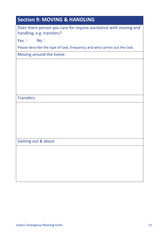<span id="page-11-0"></span>

| <b>Section 9: MOVING &amp; HANDLING</b>                                                        |
|------------------------------------------------------------------------------------------------|
| Does there person you care for require assistance with moving and<br>handling, e.g. transfers? |
| Yes $\square$<br>No <sub>1</sub>                                                               |
| Please describe the type of task, frequency and who carries out the task.                      |
| Moving around the home:                                                                        |
|                                                                                                |
|                                                                                                |
|                                                                                                |
|                                                                                                |
|                                                                                                |
| <b>Transfers:</b>                                                                              |
|                                                                                                |
|                                                                                                |
|                                                                                                |
|                                                                                                |
|                                                                                                |
| Getting out & about                                                                            |
|                                                                                                |
|                                                                                                |
|                                                                                                |
|                                                                                                |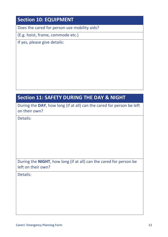### <span id="page-12-0"></span>**Section 10: EQUIPMENT**

Does the cared for person use mobility aids?

(E.g. hoist, frame, commode etc.)

If yes, please give details:

# <span id="page-12-1"></span>**Section 11: SAFETY DURING THE DAY & NIGHT**

During the **DAY**, how long (if at all) can the cared for person be left on their own?

Details:

During the **NIGHT**, how long (if at all) can the cared for person be left on their own?

Details: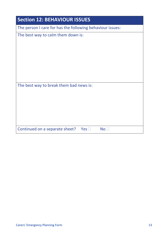<span id="page-13-0"></span>

| <b>Section 12: BEHAVIOUR ISSUES</b>                             |
|-----------------------------------------------------------------|
| The person I care for has the following behaviour issues:       |
| The best way to calm them down is:                              |
| The best way to break them bad news is:                         |
| Continued on a separate sheet?<br>No <sub>1</sub><br>Yes $\Box$ |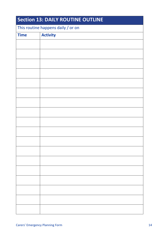<span id="page-14-0"></span>

| <b>Section 13: DAILY ROUTINE OUTLINE</b> |                 |  |
|------------------------------------------|-----------------|--|
| This routine happens daily / or on       |                 |  |
| <b>Time</b>                              | <b>Activity</b> |  |
|                                          |                 |  |
|                                          |                 |  |
|                                          |                 |  |
|                                          |                 |  |
|                                          |                 |  |
|                                          |                 |  |
|                                          |                 |  |
|                                          |                 |  |
|                                          |                 |  |
|                                          |                 |  |
|                                          |                 |  |
|                                          |                 |  |
|                                          |                 |  |
|                                          |                 |  |
|                                          |                 |  |
|                                          |                 |  |
|                                          |                 |  |
|                                          |                 |  |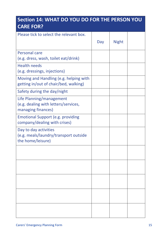### <span id="page-15-0"></span>**Section 14: WHAT DO YOU DO FOR THE PERSON YOU CARE FOR?**

| Please tick to select the relevant box.                                         |     |              |  |
|---------------------------------------------------------------------------------|-----|--------------|--|
|                                                                                 | Day | <b>Night</b> |  |
|                                                                                 |     |              |  |
| <b>Personal care</b>                                                            |     |              |  |
| (e.g. dress, wash, toilet eat/drink)                                            |     |              |  |
| <b>Health needs</b>                                                             |     |              |  |
| (e.g. dressings, injections)                                                    |     |              |  |
| Moving and Handling (e.g. helping with<br>getting in/out of chair/bed, walking) |     |              |  |
| Safety during the day/night                                                     |     |              |  |
| Life Planning/management<br>(e.g. dealing with letters/services,                |     |              |  |
| managing finances)                                                              |     |              |  |
| <b>Emotional Support (e.g. providing</b><br>company/dealing with crises)        |     |              |  |
| Day to day activities                                                           |     |              |  |
| (e.g. meals/laundry/transport outside<br>the home/leisure)                      |     |              |  |
|                                                                                 |     |              |  |
|                                                                                 |     |              |  |
|                                                                                 |     |              |  |
|                                                                                 |     |              |  |
|                                                                                 |     |              |  |
|                                                                                 |     |              |  |
|                                                                                 |     |              |  |
|                                                                                 |     |              |  |
|                                                                                 |     |              |  |
|                                                                                 |     |              |  |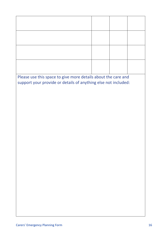| Please use this space to give more details about the care and  |  |  |
|----------------------------------------------------------------|--|--|
| support your provide or details of anything else not included: |  |  |
|                                                                |  |  |
|                                                                |  |  |
|                                                                |  |  |
|                                                                |  |  |
|                                                                |  |  |
|                                                                |  |  |
|                                                                |  |  |
|                                                                |  |  |
|                                                                |  |  |
|                                                                |  |  |
|                                                                |  |  |
|                                                                |  |  |
|                                                                |  |  |
|                                                                |  |  |
|                                                                |  |  |
|                                                                |  |  |
|                                                                |  |  |
|                                                                |  |  |
|                                                                |  |  |
|                                                                |  |  |
|                                                                |  |  |
|                                                                |  |  |
|                                                                |  |  |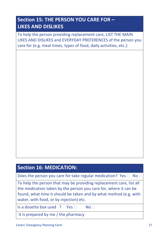### <span id="page-17-0"></span>**Section 15: THE PERSON YOU CARE FOR – LIKES AND DISLIKES**

To help the person providing replacement care, LIST THE MAIN LIKES AND DISLIKES and EVERYDAY PREFERENCES of the person you care for (e.g. meal times, types of food, daily activities, etc.):

### <span id="page-17-1"></span>**Section 16: MEDICATION:**

Does the person you care for take regular medication? Yes  $\Box$  No  $\Box$ 

To help the person that may be providing replacement care, list all the medication taken by the person you care for, where it can be found, what time it should be taken and by what method (e.g. with water, with food, or by injection) etc.

Is a dosette box used ? Yes  $\Box$  No  $\Box$ 

It is prepared by me / the pharmacy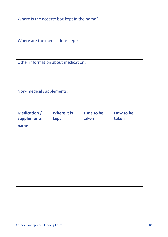| Where is the dosette box kept in the home? |  |
|--------------------------------------------|--|
|--------------------------------------------|--|

Where are the medications kept:

Other information about medication:

Non- medical supplements:

| <b>Medication /</b><br>supplements | <b>Where it is</b><br>kept | <b>Time to be</b><br>taken | How to be<br>taken |
|------------------------------------|----------------------------|----------------------------|--------------------|
| name                               |                            |                            |                    |
|                                    |                            |                            |                    |
|                                    |                            |                            |                    |
|                                    |                            |                            |                    |
|                                    |                            |                            |                    |
|                                    |                            |                            |                    |
|                                    |                            |                            |                    |
|                                    |                            |                            |                    |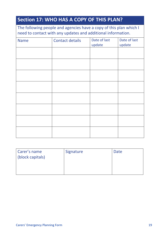<span id="page-19-0"></span>

| <b>Section 17: WHO HAS A COPY OF THIS PLAN?</b><br>The following people and agencies have a copy of this plan which I<br>need to contact with any updates and additional information. |  |  |  |  |
|---------------------------------------------------------------------------------------------------------------------------------------------------------------------------------------|--|--|--|--|
|                                                                                                                                                                                       |  |  |  |  |
|                                                                                                                                                                                       |  |  |  |  |
|                                                                                                                                                                                       |  |  |  |  |
|                                                                                                                                                                                       |  |  |  |  |
|                                                                                                                                                                                       |  |  |  |  |
|                                                                                                                                                                                       |  |  |  |  |
|                                                                                                                                                                                       |  |  |  |  |
|                                                                                                                                                                                       |  |  |  |  |
|                                                                                                                                                                                       |  |  |  |  |

| Carer's name     | Signature | Date |
|------------------|-----------|------|
| (block capitals) |           |      |
|                  |           |      |
|                  |           |      |